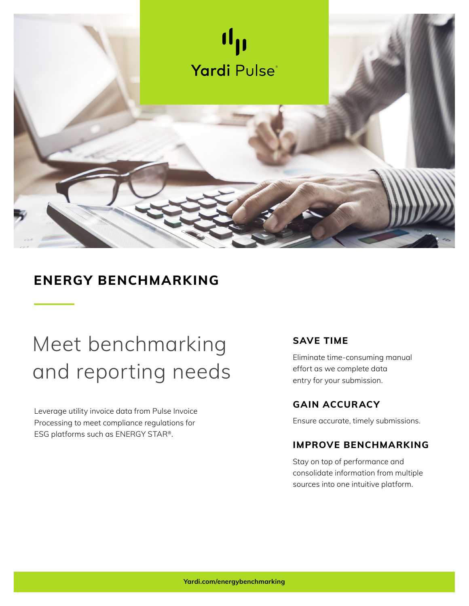

## **ENERGY BENCHMARKING**

## Meet benchmarking and reporting needs

Leverage utility invoice data from Pulse Invoice Processing to meet compliance regulations for ESG platforms such as ENERGY STAR®.

## **SAVE TIME**

Eliminate time-consuming manual effort as we complete data entry for your submission.

## **GAIN ACCURACY**

Ensure accurate, timely submissions.

## **IMPROVE BENCHMARKING**

Stay on top of performance and consolidate information from multiple sources into one intuitive platform.